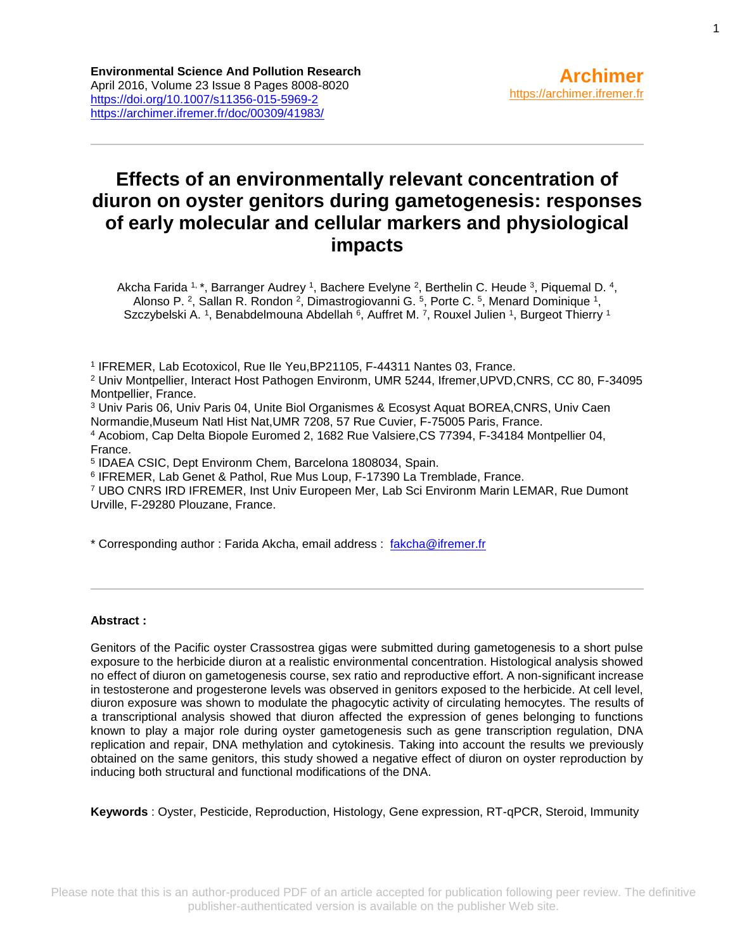# **Effects of an environmentally relevant concentration of diuron on oyster genitors during gametogenesis: responses of early molecular and cellular markers and physiological impacts**

Akcha Farida 1, \*, Barranger Audrey 1, Bachere Evelyne 2, Berthelin C. Heude 3, Piquemal D. 4, Alonso P. <sup>2</sup>, Sallan R. Rondon <sup>2</sup>, Dimastrogiovanni G. <sup>5</sup>, Porte C. <sup>5</sup>, Menard Dominique <sup>1</sup>, Szczybelski A. <sup>1</sup>, Benabdelmouna Abdellah <sup>6</sup>, Auffret M. <sup>7</sup>, Rouxel Julien <sup>1</sup>, Burgeot Thierry <sup>1</sup>

<sup>1</sup> IFREMER, Lab Ecotoxicol, Rue lle Yeu, BP21105, F-44311 Nantes 03, France.

<sup>2</sup> Univ Montpellier, Interact Host Pathogen Environm, UMR 5244, Ifremer,UPVD,CNRS, CC 80, F-34095 Montpellier, France.

<sup>3</sup> Univ Paris 06, Univ Paris 04, Unite Biol Organismes & Ecosyst Aquat BOREA,CNRS, Univ Caen Normandie,Museum Natl Hist Nat,UMR 7208, 57 Rue Cuvier, F-75005 Paris, France.

<sup>4</sup> Acobiom, Cap Delta Biopole Euromed 2, 1682 Rue Valsiere,CS 77394, F-34184 Montpellier 04, France.

5 IDAEA CSIC, Dept Environm Chem, Barcelona 1808034, Spain.

6 IFREMER, Lab Genet & Pathol, Rue Mus Loup, F-17390 La Tremblade, France.

<sup>7</sup> UBO CNRS IRD IFREMER, Inst Univ Europeen Mer, Lab Sci Environm Marin LEMAR, Rue Dumont Urville, F-29280 Plouzane, France.

\* Corresponding author : Farida Akcha, email address : [fakcha@ifremer.fr](file:///C:/birt/First_Page_Generation/Exports/fakcha@ifremer.fr)

#### **Abstract :**

Genitors of the Pacific oyster Crassostrea gigas were submitted during gametogenesis to a short pulse exposure to the herbicide diuron at a realistic environmental concentration. Histological analysis showed no effect of diuron on gametogenesis course, sex ratio and reproductive effort. A non-significant increase in testosterone and progesterone levels was observed in genitors exposed to the herbicide. At cell level, diuron exposure was shown to modulate the phagocytic activity of circulating hemocytes. The results of a transcriptional analysis showed that diuron affected the expression of genes belonging to functions known to play a major role during oyster gametogenesis such as gene transcription regulation, DNA replication and repair, DNA methylation and cytokinesis. Taking into account the results we previously obtained on the same genitors, this study showed a negative effect of diuron on oyster reproduction by inducing both structural and functional modifications of the DNA.

**Keywords** : Oyster, Pesticide, Reproduction, Histology, Gene expression, RT-qPCR, Steroid, Immunity

1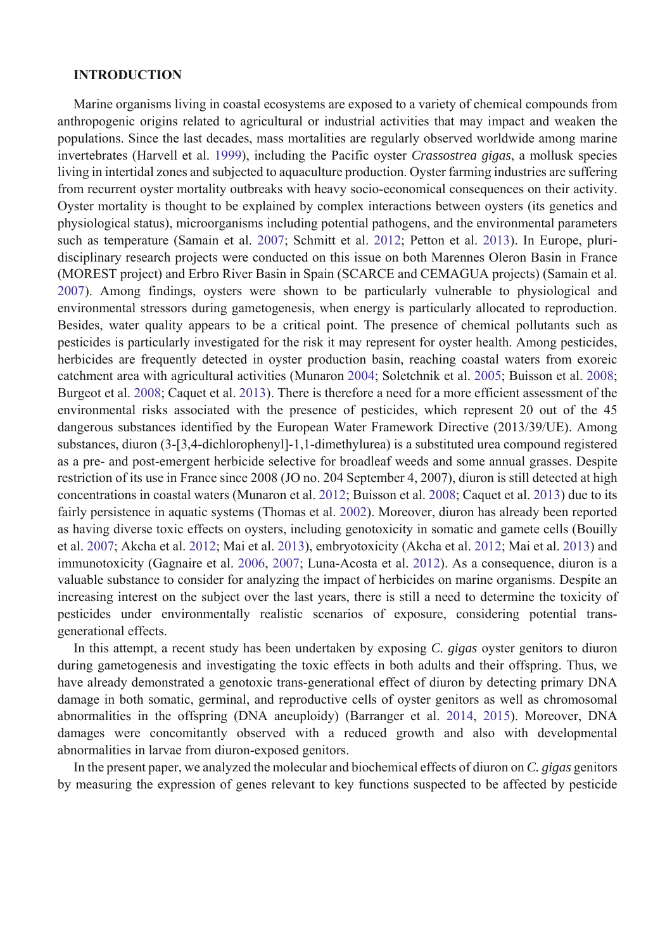#### **INTRODUCTION**

Marine organisms living in coastal ecosystems are exposed to a variety of chemical compounds from anthropogenic origins related to agricultural or industrial activities that may impact and weaken the populations. Since the last decades, mass mortalities are regularly observed worldwide among marine invertebrates (Harvell et al. 1999), including the Pacific oyster *Crassostrea gigas*, a mollusk species living in intertidal zones and subjected to aquaculture production. Oyster farming industries are suffering from recurrent oyster mortality outbreaks with heavy socio-economical consequences on their activity. Oyster mortality is thought to be explained by complex interactions between oysters (its genetics and physiological status), microorganisms including potential pathogens, and the environmental parameters such as temperature (Samain et al. 2007; Schmitt et al. 2012; Petton et al. 2013). In Europe, pluridisciplinary research projects were conducted on this issue on both Marennes Oleron Basin in France (MOREST project) and Erbro River Basin in Spain (SCARCE and CEMAGUA projects) (Samain et al. 2007). Among findings, oysters were shown to be particularly vulnerable to physiological and environmental stressors during gametogenesis, when energy is particularly allocated to reproduction. Besides, water quality appears to be a critical point. The presence of chemical pollutants such as pesticides is particularly investigated for the risk it may represent for oyster health. Among pesticides, herbicides are frequently detected in oyster production basin, reaching coastal waters from exoreic catchment area with agricultural activities (Munaron 2004; Soletchnik et al. 2005; Buisson et al. 2008; Burgeot et al. 2008; Caquet et al. 2013). There is therefore a need for a more efficient assessment of the environmental risks associated with the presence of pesticides, which represent 20 out of the 45 dangerous substances identified by the European Water Framework Directive (2013/39/UE). Among substances, diuron (3-[3,4-dichlorophenyl]-1,1-dimethylurea) is a substituted urea compound registered as a pre- and post-emergent herbicide selective for broadleaf weeds and some annual grasses. Despite restriction of its use in France since 2008 (JO no. 204 September 4, 2007), diuron is still detected at high concentrations in coastal waters (Munaron et al. 2012; Buisson et al. 2008; Caquet et al. 2013) due to its fairly persistence in aquatic systems (Thomas et al. 2002). Moreover, diuron has already been reported as having diverse toxic effects on oysters, including genotoxicity in somatic and gamete cells (Bouilly et al. 2007; Akcha et al. 2012; Mai et al. 2013), embryotoxicity (Akcha et al. 2012; Mai et al. 2013) and immunotoxicity (Gagnaire et al. 2006, 2007; Luna-Acosta et al. 2012). As a consequence, diuron is a valuable substance to consider for analyzing the impact of herbicides on marine organisms. Despite an increasing interest on the subject over the last years, there is still a need to determine the toxicity of pesticides under environmentally realistic scenarios of exposure, considering potential transgenerational effects.

In this attempt, a recent study has been undertaken by exposing *C. gigas* oyster genitors to diuron during gametogenesis and investigating the toxic effects in both adults and their offspring. Thus, we have already demonstrated a genotoxic trans-generational effect of diuron by detecting primary DNA damage in both somatic, germinal, and reproductive cells of oyster genitors as well as chromosomal abnormalities in the offspring (DNA aneuploidy) (Barranger et al. 2014, 2015). Moreover, DNA damages were concomitantly observed with a reduced growth and also with developmental abnormalities in larvae from diuron-exposed genitors.

In the present paper, we analyzed the molecular and biochemical effects of diuron on *C. gigas* genitors by measuring the expression of genes relevant to key functions suspected to be affected by pesticide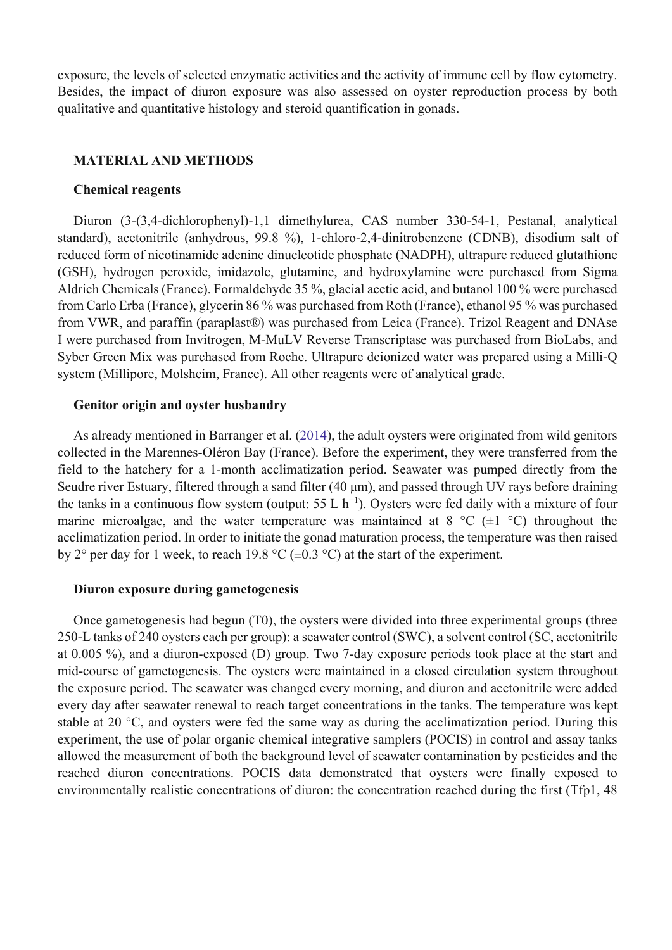exposure, the levels of selected enzymatic activities and the activity of immune cell by flow cytometry. Besides, the impact of diuron exposure was also assessed on oyster reproduction process by both qualitative and quantitative histology and steroid quantification in gonads.

#### **MATERIAL AND METHODS**

#### **Chemical reagents**

Diuron (3-(3,4-dichlorophenyl)-1,1 dimethylurea, CAS number 330-54-1, Pestanal, analytical standard), acetonitrile (anhydrous, 99.8 %), 1-chloro-2,4-dinitrobenzene (CDNB), disodium salt of reduced form of nicotinamide adenine dinucleotide phosphate (NADPH), ultrapure reduced glutathione (GSH), hydrogen peroxide, imidazole, glutamine, and hydroxylamine were purchased from Sigma Aldrich Chemicals (France). Formaldehyde 35 %, glacial acetic acid, and butanol 100 % were purchased from Carlo Erba (France), glycerin 86 % was purchased from Roth (France), ethanol 95 % was purchased from VWR, and paraffin (paraplast®) was purchased from Leica (France). Trizol Reagent and DNAse I were purchased from Invitrogen, M-MuLV Reverse Transcriptase was purchased from BioLabs, and Syber Green Mix was purchased from Roche. Ultrapure deionized water was prepared using a Milli-Q system (Millipore, Molsheim, France). All other reagents were of analytical grade.

#### **Genitor origin and oyster husbandry**

As already mentioned in Barranger et al. (2014), the adult oysters were originated from wild genitors collected in the Marennes-Oléron Bay (France). Before the experiment, they were transferred from the field to the hatchery for a 1-month acclimatization period. Seawater was pumped directly from the Seudre river Estuary, filtered through a sand filter (40 μm), and passed through UV rays before draining the tanks in a continuous flow system (output:  $55 \text{ L h}^{-1}$ ). Oysters were fed daily with a mixture of four marine microalgae, and the water temperature was maintained at  $8 \degree C$  ( $\pm 1 \degree C$ ) throughout the acclimatization period. In order to initiate the gonad maturation process, the temperature was then raised by 2° per day for 1 week, to reach 19.8 °C ( $\pm$ 0.3 °C) at the start of the experiment.

#### **Diuron exposure during gametogenesis**

Once gametogenesis had begun (T0), the oysters were divided into three experimental groups (three 250-L tanks of 240 oysters each per group): a seawater control (SWC), a solvent control (SC, acetonitrile at 0.005 %), and a diuron-exposed (D) group. Two 7-day exposure periods took place at the start and mid-course of gametogenesis. The oysters were maintained in a closed circulation system throughout the exposure period. The seawater was changed every morning, and diuron and acetonitrile were added every day after seawater renewal to reach target concentrations in the tanks. The temperature was kept stable at 20 °C, and oysters were fed the same way as during the acclimatization period. During this experiment, the use of polar organic chemical integrative samplers (POCIS) in control and assay tanks allowed the measurement of both the background level of seawater contamination by pesticides and the reached diuron concentrations. POCIS data demonstrated that oysters were finally exposed to environmentally realistic concentrations of diuron: the concentration reached during the first (Tfp1, 48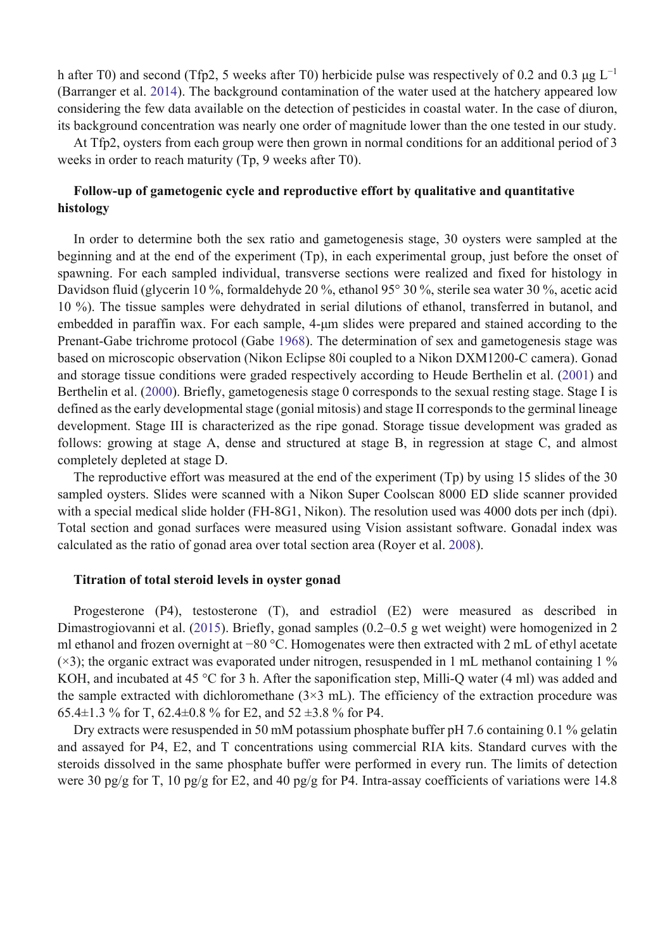h after T0) and second (Tfp2, 5 weeks after T0) herbicide pulse was respectively of 0.2 and 0.3  $\mu$ g L<sup>-1</sup> (Barranger et al. 2014). The background contamination of the water used at the hatchery appeared low considering the few data available on the detection of pesticides in coastal water. In the case of diuron, its background concentration was nearly one order of magnitude lower than the one tested in our study.

At Tfp2, oysters from each group were then grown in normal conditions for an additional period of 3 weeks in order to reach maturity (Tp, 9 weeks after T0).

### **Follow-up of gametogenic cycle and reproductive effort by qualitative and quantitative histology**

In order to determine both the sex ratio and gametogenesis stage, 30 oysters were sampled at the beginning and at the end of the experiment (Tp), in each experimental group, just before the onset of spawning. For each sampled individual, transverse sections were realized and fixed for histology in Davidson fluid (glycerin 10 %, formaldehyde 20 %, ethanol 95° 30 %, sterile sea water 30 %, acetic acid 10 %). The tissue samples were dehydrated in serial dilutions of ethanol, transferred in butanol, and embedded in paraffin wax. For each sample, 4-μm slides were prepared and stained according to the Prenant-Gabe trichrome protocol (Gabe 1968). The determination of sex and gametogenesis stage was based on microscopic observation (Nikon Eclipse 80i coupled to a Nikon DXM1200-C camera). Gonad and storage tissue conditions were graded respectively according to Heude Berthelin et al. (2001) and Berthelin et al. (2000). Briefly, gametogenesis stage 0 corresponds to the sexual resting stage. Stage I is defined as the early developmental stage (gonial mitosis) and stage II corresponds to the germinal lineage development. Stage III is characterized as the ripe gonad. Storage tissue development was graded as follows: growing at stage A, dense and structured at stage B, in regression at stage C, and almost completely depleted at stage D.

The reproductive effort was measured at the end of the experiment (Tp) by using 15 slides of the 30 sampled oysters. Slides were scanned with a Nikon Super Coolscan 8000 ED slide scanner provided with a special medical slide holder (FH-8G1, Nikon). The resolution used was 4000 dots per inch (dpi). Total section and gonad surfaces were measured using Vision assistant software. Gonadal index was calculated as the ratio of gonad area over total section area (Royer et al. 2008).

#### **Titration of total steroid levels in oyster gonad**

Progesterone (P4), testosterone (T), and estradiol (E2) were measured as described in Dimastrogiovanni et al. (2015). Briefly, gonad samples (0.2–0.5 g wet weight) were homogenized in 2 ml ethanol and frozen overnight at −80 °C. Homogenates were then extracted with 2 mL of ethyl acetate  $(x3)$ ; the organic extract was evaporated under nitrogen, resuspended in 1 mL methanol containing 1 % KOH, and incubated at 45 °C for 3 h. After the saponification step, Milli-Q water (4 ml) was added and the sample extracted with dichloromethane  $(3\times3 \text{ mL})$ . The efficiency of the extraction procedure was 65.4 $\pm$ 1.3 % for T, 62.4 $\pm$ 0.8 % for E2, and 52  $\pm$ 3.8 % for P4.

Dry extracts were resuspended in 50 mM potassium phosphate buffer pH 7.6 containing 0.1 % gelatin and assayed for P4, E2, and T concentrations using commercial RIA kits. Standard curves with the steroids dissolved in the same phosphate buffer were performed in every run. The limits of detection were 30 pg/g for T, 10 pg/g for E2, and 40 pg/g for P4. Intra-assay coefficients of variations were 14.8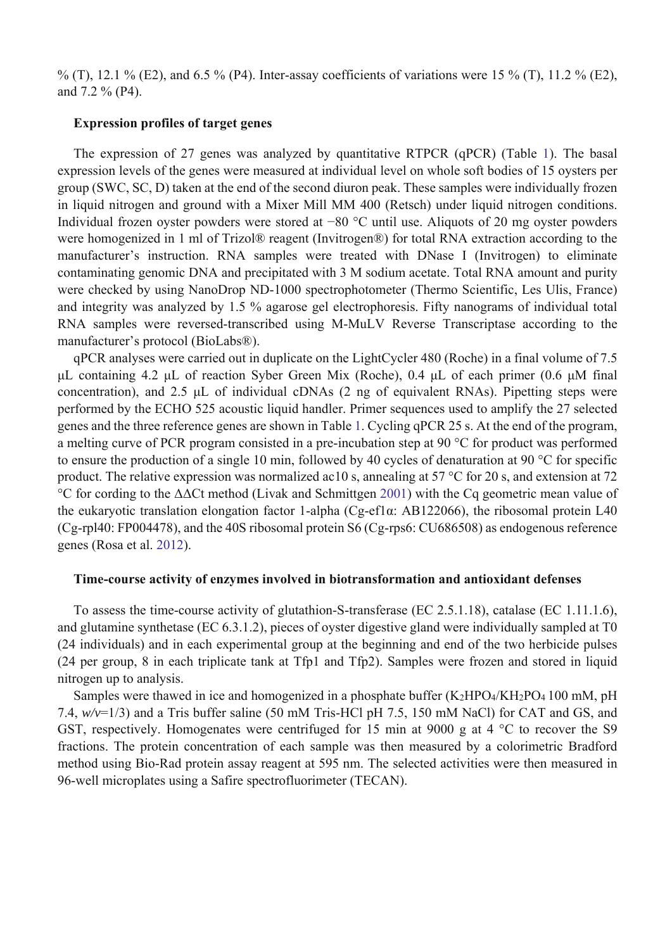% (T), 12.1 % (E2), and 6.5 % (P4). Inter-assay coefficients of variations were 15 % (T), 11.2 % (E2), and 7.2 % (P4).

#### **Expression profiles of target genes**

The expression of 27 genes was analyzed by quantitative RTPCR (qPCR) (Table 1). The basal expression levels of the genes were measured at individual level on whole soft bodies of 15 oysters per group (SWC, SC, D) taken at the end of the second diuron peak. These samples were individually frozen in liquid nitrogen and ground with a Mixer Mill MM 400 (Retsch) under liquid nitrogen conditions. Individual frozen oyster powders were stored at −80 °C until use. Aliquots of 20 mg oyster powders were homogenized in 1 ml of Trizol® reagent (Invitrogen®) for total RNA extraction according to the manufacturer's instruction. RNA samples were treated with DNase I (Invitrogen) to eliminate contaminating genomic DNA and precipitated with 3 M sodium acetate. Total RNA amount and purity were checked by using NanoDrop ND-1000 spectrophotometer (Thermo Scientific, Les Ulis, France) and integrity was analyzed by 1.5 % agarose gel electrophoresis. Fifty nanograms of individual total RNA samples were reversed-transcribed using M-MuLV Reverse Transcriptase according to the manufacturer's protocol (BioLabs®).

qPCR analyses were carried out in duplicate on the LightCycler 480 (Roche) in a final volume of 7.5 μL containing 4.2 μL of reaction Syber Green Mix (Roche), 0.4 μL of each primer (0.6 μM final concentration), and 2.5 μL of individual cDNAs (2 ng of equivalent RNAs). Pipetting steps were performed by the ECHO 525 acoustic liquid handler. Primer sequences used to amplify the 27 selected genes and the three reference genes are shown in Table 1. Cycling qPCR 25 s. At the end of the program, a melting curve of PCR program consisted in a pre-incubation step at 90 °C for product was performed to ensure the production of a single 10 min, followed by 40 cycles of denaturation at 90 °C for specific product. The relative expression was normalized ac10 s, annealing at 57 °C for 20 s, and extension at 72 °C for cording to the ΔΔCt method (Livak and Schmittgen 2001) with the Cq geometric mean value of the eukaryotic translation elongation factor 1-alpha (Cg-ef1α: AB122066), the ribosomal protein L40 (Cg-rpl40: FP004478), and the 40S ribosomal protein S6 (Cg-rps6: CU686508) as endogenous reference genes (Rosa et al. 2012).

#### **Time-course activity of enzymes involved in biotransformation and antioxidant defenses**

To assess the time-course activity of glutathion-S-transferase (EC 2.5.1.18), catalase (EC 1.11.1.6), and glutamine synthetase (EC 6.3.1.2), pieces of oyster digestive gland were individually sampled at T0 (24 individuals) and in each experimental group at the beginning and end of the two herbicide pulses (24 per group, 8 in each triplicate tank at Tfp1 and Tfp2). Samples were frozen and stored in liquid nitrogen up to analysis.

Samples were thawed in ice and homogenized in a phosphate buffer (K2HPO4/KH2PO4 100 mM, pH 7.4, *w/v*=1/3) and a Tris buffer saline (50 mM Tris-HCl pH 7.5, 150 mM NaCl) for CAT and GS, and GST, respectively. Homogenates were centrifuged for 15 min at 9000 g at 4 °C to recover the S9 fractions. The protein concentration of each sample was then measured by a colorimetric Bradford method using Bio-Rad protein assay reagent at 595 nm. The selected activities were then measured in 96-well microplates using a Safire spectrofluorimeter (TECAN).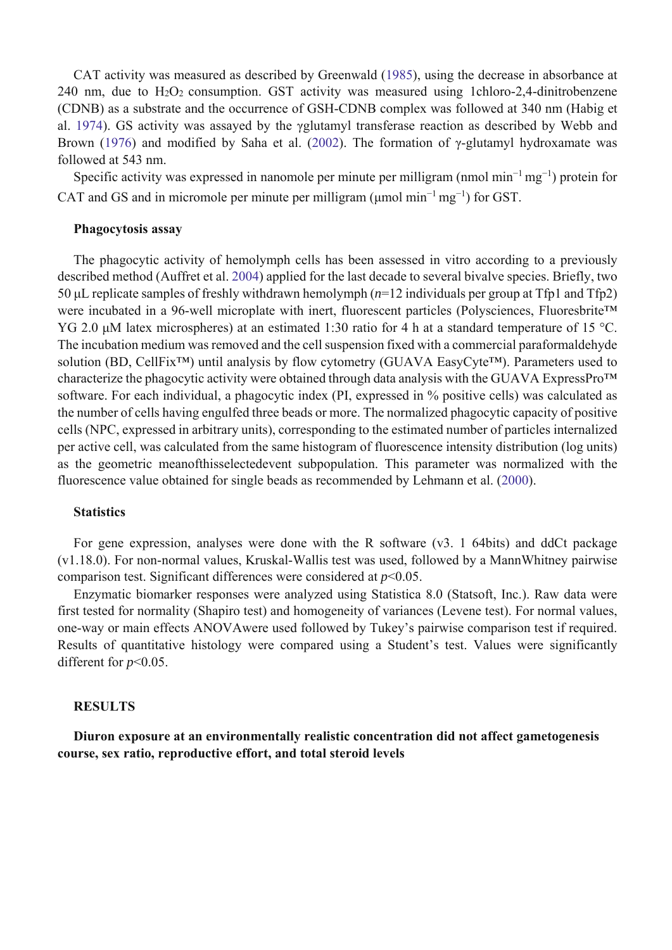CAT activity was measured as described by Greenwald (1985), using the decrease in absorbance at 240 nm, due to  $H_2O_2$  consumption. GST activity was measured using 1chloro-2,4-dinitrobenzene (CDNB) as a substrate and the occurrence of GSH-CDNB complex was followed at 340 nm (Habig et al. 1974). GS activity was assayed by the γglutamyl transferase reaction as described by Webb and Brown (1976) and modified by Saha et al. (2002). The formation of γ-glutamyl hydroxamate was followed at 543 nm.

Specific activity was expressed in nanomole per minute per milligram (nmol min<sup>-1</sup> mg<sup>-1</sup>) protein for CAT and GS and in micromole per minute per milligram (umol min<sup>-1</sup> mg<sup>-1</sup>) for GST.

#### **Phagocytosis assay**

The phagocytic activity of hemolymph cells has been assessed in vitro according to a previously described method (Auffret et al. 2004) applied for the last decade to several bivalve species. Briefly, two 50 μL replicate samples of freshly withdrawn hemolymph (*n*=12 individuals per group at Tfp1 and Tfp2) were incubated in a 96-well microplate with inert, fluorescent particles (Polysciences, Fluoresbrite™ YG 2.0 μM latex microspheres) at an estimated 1:30 ratio for 4 h at a standard temperature of 15 °C. The incubation medium was removed and the cell suspension fixed with a commercial paraformaldehyde solution (BD, CellFix<sup>™</sup>) until analysis by flow cytometry (GUAVA EasyCyte<sup>™)</sup>. Parameters used to characterize the phagocytic activity were obtained through data analysis with the GUAVA ExpressPro™ software. For each individual, a phagocytic index (PI, expressed in % positive cells) was calculated as the number of cells having engulfed three beads or more. The normalized phagocytic capacity of positive cells (NPC, expressed in arbitrary units), corresponding to the estimated number of particles internalized per active cell, was calculated from the same histogram of fluorescence intensity distribution (log units) as the geometric meanofthisselectedevent subpopulation. This parameter was normalized with the fluorescence value obtained for single beads as recommended by Lehmann et al. (2000).

#### **Statistics**

For gene expression, analyses were done with the R software (v3. 1 64bits) and ddCt package (v1.18.0). For non-normal values, Kruskal-Wallis test was used, followed by a MannWhitney pairwise comparison test. Significant differences were considered at *p*<0.05.

Enzymatic biomarker responses were analyzed using Statistica 8.0 (Statsoft, Inc.). Raw data were first tested for normality (Shapiro test) and homogeneity of variances (Levene test). For normal values, one-way or main effects ANOVAwere used followed by Tukey's pairwise comparison test if required. Results of quantitative histology were compared using a Student's test. Values were significantly different for *p*<0.05.

#### **RESULTS**

**Diuron exposure at an environmentally realistic concentration did not affect gametogenesis course, sex ratio, reproductive effort, and total steroid levels**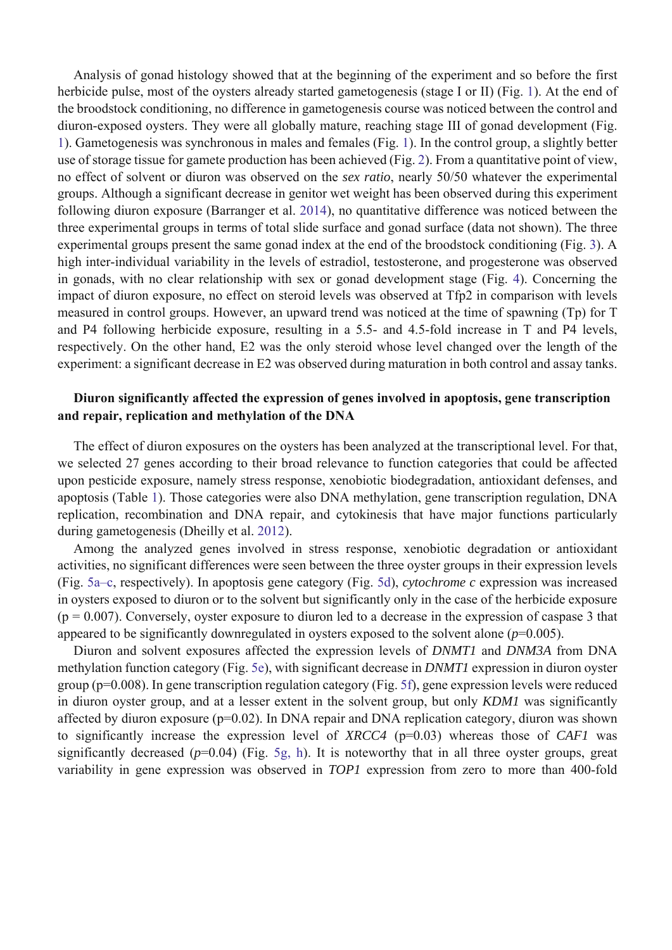Analysis of gonad histology showed that at the beginning of the experiment and so before the first herbicide pulse, most of the oysters already started gametogenesis (stage I or II) (Fig. 1). At the end of the broodstock conditioning, no difference in gametogenesis course was noticed between the control and diuron-exposed oysters. They were all globally mature, reaching stage III of gonad development (Fig. 1). Gametogenesis was synchronous in males and females (Fig. 1). In the control group, a slightly better use of storage tissue for gamete production has been achieved (Fig. 2). From a quantitative point of view, no effect of solvent or diuron was observed on the *sex ratio*, nearly 50/50 whatever the experimental groups. Although a significant decrease in genitor wet weight has been observed during this experiment following diuron exposure (Barranger et al. 2014), no quantitative difference was noticed between the three experimental groups in terms of total slide surface and gonad surface (data not shown). The three experimental groups present the same gonad index at the end of the broodstock conditioning (Fig. 3). A high inter-individual variability in the levels of estradiol, testosterone, and progesterone was observed in gonads, with no clear relationship with sex or gonad development stage (Fig. 4). Concerning the impact of diuron exposure, no effect on steroid levels was observed at Tfp2 in comparison with levels measured in control groups. However, an upward trend was noticed at the time of spawning (Tp) for T and P4 following herbicide exposure, resulting in a 5.5- and 4.5-fold increase in T and P4 levels, respectively. On the other hand, E2 was the only steroid whose level changed over the length of the experiment: a significant decrease in E2 was observed during maturation in both control and assay tanks.

### **Diuron significantly affected the expression of genes involved in apoptosis, gene transcription and repair, replication and methylation of the DNA**

The effect of diuron exposures on the oysters has been analyzed at the transcriptional level. For that, we selected 27 genes according to their broad relevance to function categories that could be affected upon pesticide exposure, namely stress response, xenobiotic biodegradation, antioxidant defenses, and apoptosis (Table 1). Those categories were also DNA methylation, gene transcription regulation, DNA replication, recombination and DNA repair, and cytokinesis that have major functions particularly during gametogenesis (Dheilly et al. 2012).

Among the analyzed genes involved in stress response, xenobiotic degradation or antioxidant activities, no significant differences were seen between the three oyster groups in their expression levels (Fig. 5a–c, respectively). In apoptosis gene category (Fig. 5d), *cytochrome c* expression was increased in oysters exposed to diuron or to the solvent but significantly only in the case of the herbicide exposure  $(p = 0.007)$ . Conversely, oyster exposure to diuron led to a decrease in the expression of caspase 3 that appeared to be significantly downregulated in oysters exposed to the solvent alone  $(p=0.005)$ .

Diuron and solvent exposures affected the expression levels of *DNMT1* and *DNM3A* from DNA methylation function category (Fig. 5e), with significant decrease in *DNMT1* expression in diuron oyster group (p=0.008). In gene transcription regulation category (Fig. 5f), gene expression levels were reduced in diuron oyster group, and at a lesser extent in the solvent group, but only *KDM1* was significantly affected by diuron exposure (p=0.02). In DNA repair and DNA replication category, diuron was shown to significantly increase the expression level of *XRCC4* (p=0.03) whereas those of *CAF1* was significantly decreased  $(p=0.04)$  (Fig. 5g, h). It is noteworthy that in all three oyster groups, great variability in gene expression was observed in *TOP1* expression from zero to more than 400-fold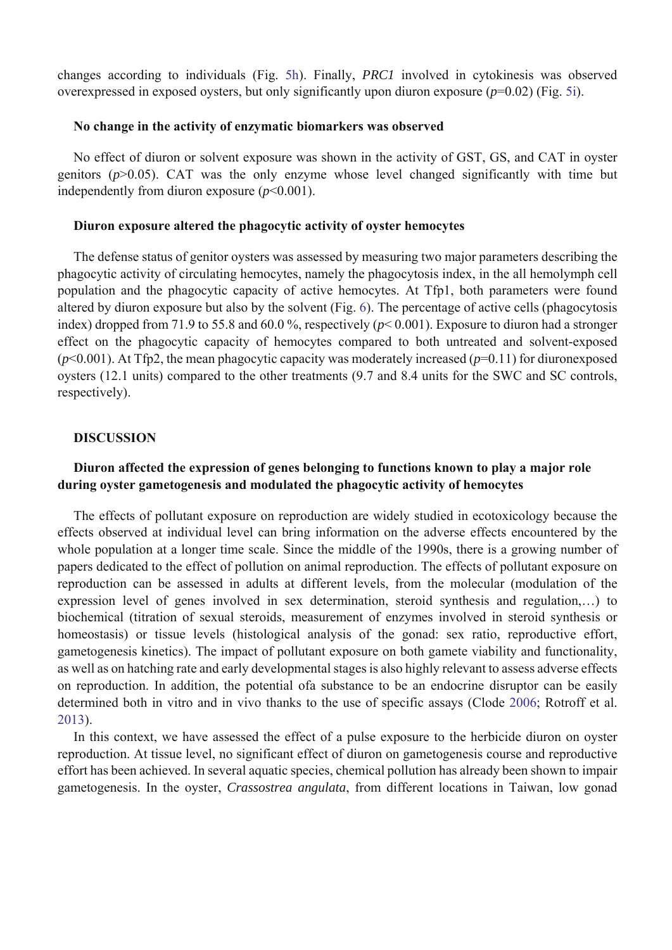changes according to individuals (Fig. 5h). Finally, *PRC1* involved in cytokinesis was observed overexpressed in exposed oysters, but only significantly upon diuron exposure (*p*=0.02) (Fig. 5i).

#### **No change in the activity of enzymatic biomarkers was observed**

No effect of diuron or solvent exposure was shown in the activity of GST, GS, and CAT in oyster genitors (*p*>0.05). CAT was the only enzyme whose level changed significantly with time but independently from diuron exposure  $(p<0.001)$ .

#### **Diuron exposure altered the phagocytic activity of oyster hemocytes**

The defense status of genitor oysters was assessed by measuring two major parameters describing the phagocytic activity of circulating hemocytes, namely the phagocytosis index, in the all hemolymph cell population and the phagocytic capacity of active hemocytes. At Tfp1, both parameters were found altered by diuron exposure but also by the solvent (Fig. 6). The percentage of active cells (phagocytosis index) dropped from 71.9 to 55.8 and 60.0 %, respectively (*p*< 0.001). Exposure to diuron had a stronger effect on the phagocytic capacity of hemocytes compared to both untreated and solvent-exposed (*p*<0.001). At Tfp2, the mean phagocytic capacity was moderately increased (*p*=0.11) for diuronexposed oysters (12.1 units) compared to the other treatments (9.7 and 8.4 units for the SWC and SC controls, respectively).

#### **DISCUSSION**

### **Diuron affected the expression of genes belonging to functions known to play a major role during oyster gametogenesis and modulated the phagocytic activity of hemocytes**

The effects of pollutant exposure on reproduction are widely studied in ecotoxicology because the effects observed at individual level can bring information on the adverse effects encountered by the whole population at a longer time scale. Since the middle of the 1990s, there is a growing number of papers dedicated to the effect of pollution on animal reproduction. The effects of pollutant exposure on reproduction can be assessed in adults at different levels, from the molecular (modulation of the expression level of genes involved in sex determination, steroid synthesis and regulation,…) to biochemical (titration of sexual steroids, measurement of enzymes involved in steroid synthesis or homeostasis) or tissue levels (histological analysis of the gonad: sex ratio, reproductive effort, gametogenesis kinetics). The impact of pollutant exposure on both gamete viability and functionality, as well as on hatching rate and early developmental stages is also highly relevant to assess adverse effects on reproduction. In addition, the potential ofa substance to be an endocrine disruptor can be easily determined both in vitro and in vivo thanks to the use of specific assays (Clode 2006; Rotroff et al. 2013).

In this context, we have assessed the effect of a pulse exposure to the herbicide diuron on oyster reproduction. At tissue level, no significant effect of diuron on gametogenesis course and reproductive effort has been achieved. In several aquatic species, chemical pollution has already been shown to impair gametogenesis. In the oyster, *Crassostrea angulata*, from different locations in Taiwan, low gonad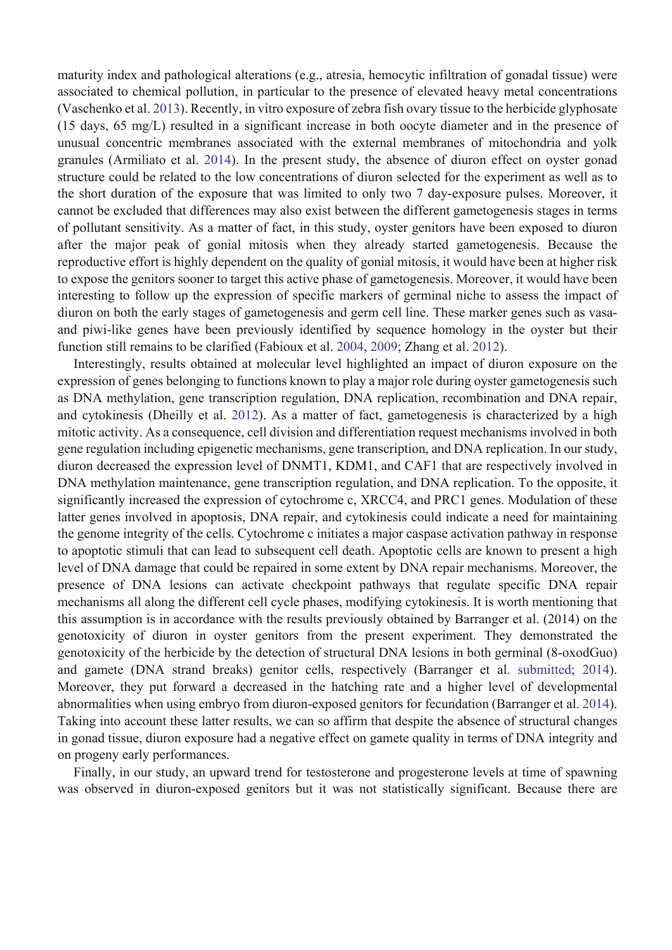maturity index and pathological alterations (e.g., atresia, hemocytic infiltration of gonadal tissue) were associated to chemical pollution, in particular to the presence of elevated heavy metal concentrations (Vaschenko et al. 2013). Recently, in vitro exposure of zebra fish ovary tissue to the herbicide glyphosate (15 days, 65 mg/L) resulted in a significant increase in both oocyte diameter and in the presence of unusual concentric membranes associated with the external membranes of mitochondria and yolk granules (Armiliato et al. 2014). In the present study, the absence of diuron effect on oyster gonad structure could be related to the low concentrations of diuron selected for the experiment as well as to the short duration of the exposure that was limited to only two 7 day-exposure pulses. Moreover, it cannot be excluded that differences may also exist between the different gametogenesis stages in terms of pollutant sensitivity. As a matter of fact, in this study, oyster genitors have been exposed to diuron after the major peak of gonial mitosis when they already started gametogenesis. Because the reproductive effort is highly dependent on the quality of gonial mitosis, it would have been at higher risk to expose the genitors sooner to target this active phase of gametogenesis. Moreover, it would have been interesting to follow up the expression of specific markers of germinal niche to assess the impact of diuron on both the early stages of gametogenesis and germ cell line. These marker genes such as vasaand piwi-like genes have been previously identified by sequence homology in the oyster but their function still remains to be clarified (Fabioux et al. 2004, 2009; Zhang et al. 2012).

Interestingly, results obtained at molecular level highlighted an impact of diuron exposure on the expression of genes belonging to functions known to play a major role during oyster gametogenesis such as DNA methylation, gene transcription regulation, DNA replication, recombination and DNA repair, and cytokinesis (Dheilly et al. 2012). As a matter of fact, gametogenesis is characterized by a high mitotic activity. As a consequence, cell division and differentiation request mechanisms involved in both gene regulation including epigenetic mechanisms, gene transcription, and DNA replication. In our study, diuron decreased the expression level of DNMT1, KDM1, and CAF1 that are respectively involved in DNA methylation maintenance, gene transcription regulation, and DNA replication. To the opposite, it significantly increased the expression of cytochrome c, XRCC4, and PRC1 genes. Modulation of these latter genes involved in apoptosis, DNA repair, and cytokinesis could indicate a need for maintaining the genome integrity of the cells. Cytochrome c initiates a major caspase activation pathway in response to apoptotic stimuli that can lead to subsequent cell death. Apoptotic cells are known to present a high level of DNA damage that could be repaired in some extent by DNA repair mechanisms. Moreover, the presence of DNA lesions can activate checkpoint pathways that regulate specific DNA repair mechanisms all along the different cell cycle phases, modifying cytokinesis. It is worth mentioning that this assumption is in accordance with the results previously obtained by Barranger et al. (2014) on the genotoxicity of diuron in oyster genitors from the present experiment. They demonstrated the genotoxicity of the herbicide by the detection of structural DNA lesions in both germinal (8-oxodGuo) and gamete (DNA strand breaks) genitor cells, respectively (Barranger et al. submitted; 2014). Moreover, they put forward a decreased in the hatching rate and a higher level of developmental abnormalities when using embryo from diuron-exposed genitors for fecundation (Barranger et al. 2014). Taking into account these latter results, we can so affirm that despite the absence of structural changes in gonad tissue, diuron exposure had a negative effect on gamete quality in terms of DNA integrity and on progeny early performances.

Finally, in our study, an upward trend for testosterone and progesterone levels at time of spawning was observed in diuron-exposed genitors but it was not statistically significant. Because there are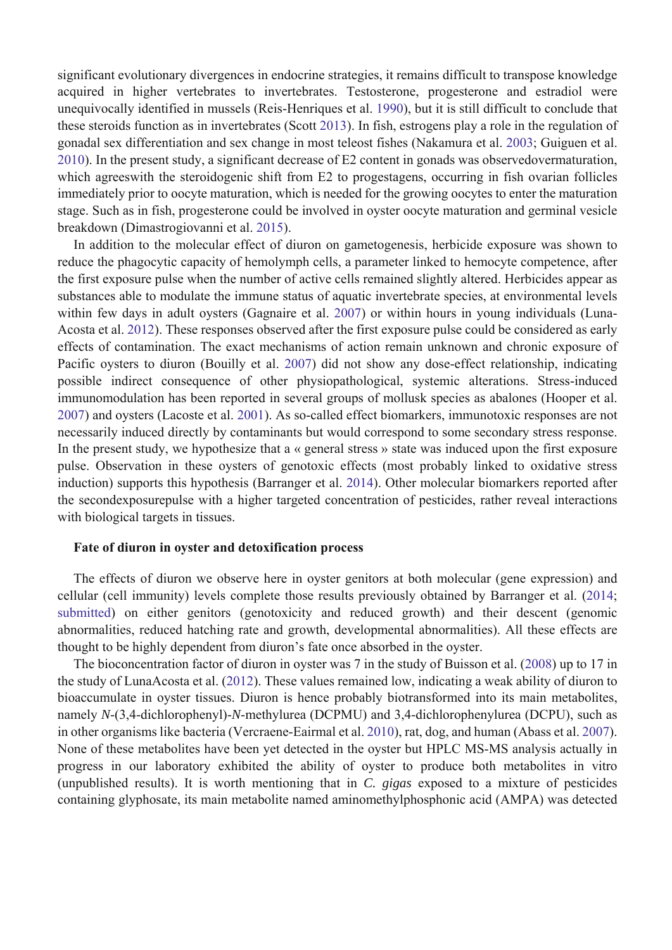significant evolutionary divergences in endocrine strategies, it remains difficult to transpose knowledge acquired in higher vertebrates to invertebrates. Testosterone, progesterone and estradiol were unequivocally identified in mussels (Reis-Henriques et al. 1990), but it is still difficult to conclude that these steroids function as in invertebrates (Scott 2013). In fish, estrogens play a role in the regulation of gonadal sex differentiation and sex change in most teleost fishes (Nakamura et al. 2003; Guiguen et al. 2010). In the present study, a significant decrease of E2 content in gonads was observedovermaturation, which agreeswith the steroidogenic shift from E2 to progestagens, occurring in fish ovarian follicles immediately prior to oocyte maturation, which is needed for the growing oocytes to enter the maturation stage. Such as in fish, progesterone could be involved in oyster oocyte maturation and germinal vesicle breakdown (Dimastrogiovanni et al. 2015).

In addition to the molecular effect of diuron on gametogenesis, herbicide exposure was shown to reduce the phagocytic capacity of hemolymph cells, a parameter linked to hemocyte competence, after the first exposure pulse when the number of active cells remained slightly altered. Herbicides appear as substances able to modulate the immune status of aquatic invertebrate species, at environmental levels within few days in adult oysters (Gagnaire et al. 2007) or within hours in young individuals (Luna-Acosta et al. 2012). These responses observed after the first exposure pulse could be considered as early effects of contamination. The exact mechanisms of action remain unknown and chronic exposure of Pacific oysters to diuron (Bouilly et al. 2007) did not show any dose-effect relationship, indicating possible indirect consequence of other physiopathological, systemic alterations. Stress-induced immunomodulation has been reported in several groups of mollusk species as abalones (Hooper et al. 2007) and oysters (Lacoste et al. 2001). As so-called effect biomarkers, immunotoxic responses are not necessarily induced directly by contaminants but would correspond to some secondary stress response. In the present study, we hypothesize that a « general stress » state was induced upon the first exposure pulse. Observation in these oysters of genotoxic effects (most probably linked to oxidative stress induction) supports this hypothesis (Barranger et al. 2014). Other molecular biomarkers reported after the secondexposurepulse with a higher targeted concentration of pesticides, rather reveal interactions with biological targets in tissues.

#### **Fate of diuron in oyster and detoxification process**

The effects of diuron we observe here in oyster genitors at both molecular (gene expression) and cellular (cell immunity) levels complete those results previously obtained by Barranger et al. (2014; submitted) on either genitors (genotoxicity and reduced growth) and their descent (genomic abnormalities, reduced hatching rate and growth, developmental abnormalities). All these effects are thought to be highly dependent from diuron's fate once absorbed in the oyster.

The bioconcentration factor of diuron in oyster was 7 in the study of Buisson et al. (2008) up to 17 in the study of LunaAcosta et al. (2012). These values remained low, indicating a weak ability of diuron to bioaccumulate in oyster tissues. Diuron is hence probably biotransformed into its main metabolites, namely *N*-(3,4-dichlorophenyl)-*N*-methylurea (DCPMU) and 3,4-dichlorophenylurea (DCPU), such as in other organisms like bacteria (Vercraene-Eairmal et al. 2010), rat, dog, and human (Abass et al. 2007). None of these metabolites have been yet detected in the oyster but HPLC MS-MS analysis actually in progress in our laboratory exhibited the ability of oyster to produce both metabolites in vitro (unpublished results). It is worth mentioning that in *C. gigas* exposed to a mixture of pesticides containing glyphosate, its main metabolite named aminomethylphosphonic acid (AMPA) was detected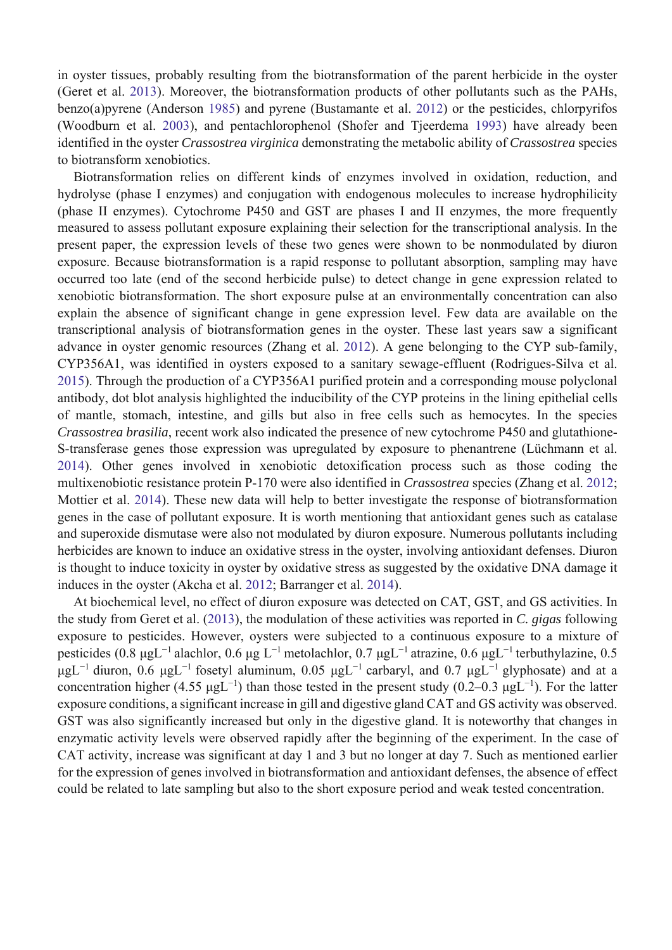in oyster tissues, probably resulting from the biotransformation of the parent herbicide in the oyster (Geret et al. 2013). Moreover, the biotransformation products of other pollutants such as the PAHs, benzo(a)pyrene (Anderson 1985) and pyrene (Bustamante et al. 2012) or the pesticides, chlorpyrifos (Woodburn et al. 2003), and pentachlorophenol (Shofer and Tjeerdema 1993) have already been identified in the oyster *Crassostrea virginica* demonstrating the metabolic ability of *Crassostrea* species to biotransform xenobiotics.

Biotransformation relies on different kinds of enzymes involved in oxidation, reduction, and hydrolyse (phase I enzymes) and conjugation with endogenous molecules to increase hydrophilicity (phase II enzymes). Cytochrome P450 and GST are phases I and II enzymes, the more frequently measured to assess pollutant exposure explaining their selection for the transcriptional analysis. In the present paper, the expression levels of these two genes were shown to be nonmodulated by diuron exposure. Because biotransformation is a rapid response to pollutant absorption, sampling may have occurred too late (end of the second herbicide pulse) to detect change in gene expression related to xenobiotic biotransformation. The short exposure pulse at an environmentally concentration can also explain the absence of significant change in gene expression level. Few data are available on the transcriptional analysis of biotransformation genes in the oyster. These last years saw a significant advance in oyster genomic resources (Zhang et al. 2012). A gene belonging to the CYP sub-family, CYP356A1, was identified in oysters exposed to a sanitary sewage-effluent (Rodrigues-Silva et al. 2015). Through the production of a CYP356A1 purified protein and a corresponding mouse polyclonal antibody, dot blot analysis highlighted the inducibility of the CYP proteins in the lining epithelial cells of mantle, stomach, intestine, and gills but also in free cells such as hemocytes. In the species *Crassostrea brasilia*, recent work also indicated the presence of new cytochrome P450 and glutathione-S-transferase genes those expression was upregulated by exposure to phenantrene (Lüchmann et al. 2014). Other genes involved in xenobiotic detoxification process such as those coding the multixenobiotic resistance protein P-170 were also identified in *Crassostrea* species (Zhang et al. 2012; Mottier et al. 2014). These new data will help to better investigate the response of biotransformation genes in the case of pollutant exposure. It is worth mentioning that antioxidant genes such as catalase and superoxide dismutase were also not modulated by diuron exposure. Numerous pollutants including herbicides are known to induce an oxidative stress in the oyster, involving antioxidant defenses. Diuron is thought to induce toxicity in oyster by oxidative stress as suggested by the oxidative DNA damage it induces in the oyster (Akcha et al. 2012; Barranger et al. 2014).

At biochemical level, no effect of diuron exposure was detected on CAT, GST, and GS activities. In the study from Geret et al. (2013), the modulation of these activities was reported in *C. gigas* following exposure to pesticides. However, oysters were subjected to a continuous exposure to a mixture of pesticides (0.8 μgL<sup>-1</sup> alachlor, 0.6 μg L<sup>-1</sup> metolachlor, 0.7 μgL<sup>-1</sup> atrazine, 0.6 μgL<sup>-1</sup> terbuthylazine, 0.5 μgL<sup>-1</sup> diuron, 0.6 μgL<sup>-1</sup> fosetyl aluminum, 0.05 μgL<sup>-1</sup> carbaryl, and 0.7 μgL<sup>-1</sup> glyphosate) and at a concentration higher (4.55 μgL<sup>-1</sup>) than those tested in the present study (0.2–0.3 μgL<sup>-1</sup>). For the latter exposure conditions, a significant increase in gill and digestive gland CAT and GS activity was observed. GST was also significantly increased but only in the digestive gland. It is noteworthy that changes in enzymatic activity levels were observed rapidly after the beginning of the experiment. In the case of CAT activity, increase was significant at day 1 and 3 but no longer at day 7. Such as mentioned earlier for the expression of genes involved in biotransformation and antioxidant defenses, the absence of effect could be related to late sampling but also to the short exposure period and weak tested concentration.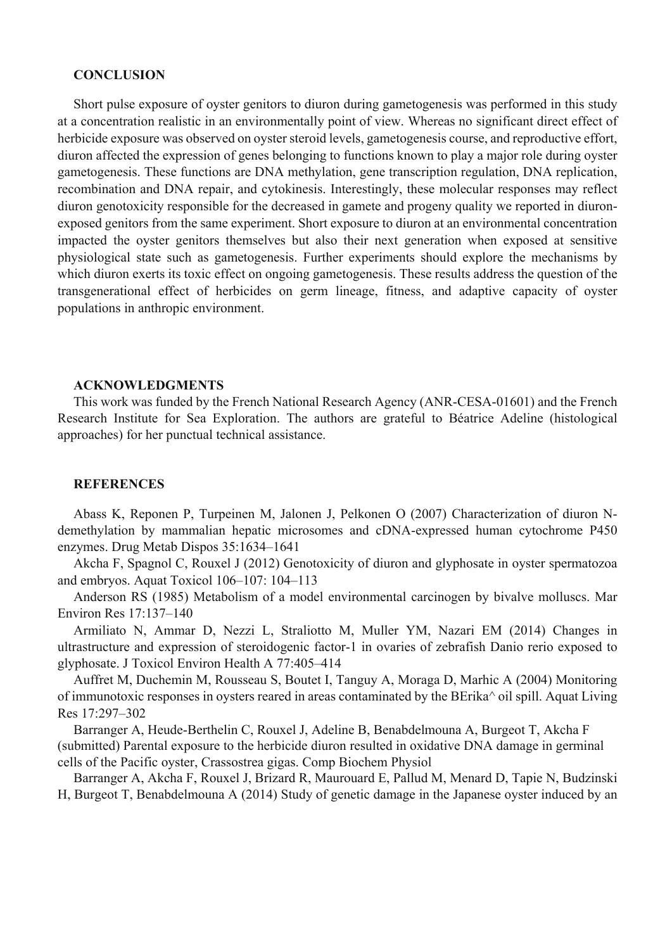#### **CONCLUSION**

Short pulse exposure of oyster genitors to diuron during gametogenesis was performed in this study at a concentration realistic in an environmentally point of view. Whereas no significant direct effect of herbicide exposure was observed on oyster steroid levels, gametogenesis course, and reproductive effort, diuron affected the expression of genes belonging to functions known to play a major role during oyster gametogenesis. These functions are DNA methylation, gene transcription regulation, DNA replication, recombination and DNA repair, and cytokinesis. Interestingly, these molecular responses may reflect diuron genotoxicity responsible for the decreased in gamete and progeny quality we reported in diuronexposed genitors from the same experiment. Short exposure to diuron at an environmental concentration impacted the oyster genitors themselves but also their next generation when exposed at sensitive physiological state such as gametogenesis. Further experiments should explore the mechanisms by which diuron exerts its toxic effect on ongoing gametogenesis. These results address the question of the transgenerational effect of herbicides on germ lineage, fitness, and adaptive capacity of oyster populations in anthropic environment.

#### **ACKNOWLEDGMENTS**

This work was funded by the French National Research Agency (ANR-CESA-01601) and the French Research Institute for Sea Exploration. The authors are grateful to Béatrice Adeline (histological approaches) for her punctual technical assistance.

#### **REFERENCES**

Abass K, Reponen P, Turpeinen M, Jalonen J, Pelkonen O (2007) Characterization of diuron Ndemethylation by mammalian hepatic microsomes and cDNA-expressed human cytochrome P450 enzymes. Drug Metab Dispos 35:1634–1641

Akcha F, Spagnol C, Rouxel J (2012) Genotoxicity of diuron and glyphosate in oyster spermatozoa and embryos. Aquat Toxicol 106–107: 104–113

Anderson RS (1985) Metabolism of a model environmental carcinogen by bivalve molluscs. Mar Environ Res 17:137–140

Armiliato N, Ammar D, Nezzi L, Straliotto M, Muller YM, Nazari EM (2014) Changes in ultrastructure and expression of steroidogenic factor-1 in ovaries of zebrafish Danio rerio exposed to glyphosate. J Toxicol Environ Health A 77:405–414

Auffret M, Duchemin M, Rousseau S, Boutet I, Tanguy A, Moraga D, Marhic A (2004) Monitoring of immunotoxic responses in oysters reared in areas contaminated by the BErika^ oil spill. Aquat Living Res 17:297–302

Barranger A, Heude-Berthelin C, Rouxel J, Adeline B, Benabdelmouna A, Burgeot T, Akcha F (submitted) Parental exposure to the herbicide diuron resulted in oxidative DNA damage in germinal cells of the Pacific oyster, Crassostrea gigas. Comp Biochem Physiol

Barranger A, Akcha F, Rouxel J, Brizard R, Maurouard E, Pallud M, Menard D, Tapie N, Budzinski H, Burgeot T, Benabdelmouna A (2014) Study of genetic damage in the Japanese oyster induced by an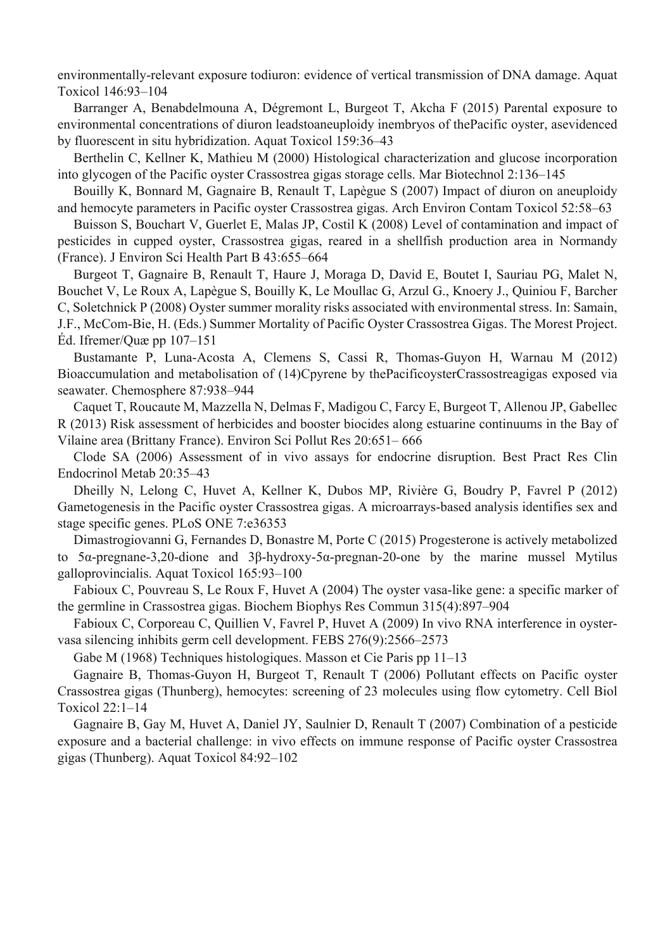environmentally-relevant exposure todiuron: evidence of vertical transmission of DNA damage. Aquat Toxicol 146:93–104

Barranger A, Benabdelmouna A, Dégremont L, Burgeot T, Akcha F (2015) Parental exposure to environmental concentrations of diuron leadstoaneuploidy inembryos of thePacific oyster, asevidenced by fluorescent in situ hybridization. Aquat Toxicol 159:36–43

Berthelin C, Kellner K, Mathieu M (2000) Histological characterization and glucose incorporation into glycogen of the Pacific oyster Crassostrea gigas storage cells. Mar Biotechnol 2:136–145

Bouilly K, Bonnard M, Gagnaire B, Renault T, Lapègue S (2007) Impact of diuron on aneuploidy and hemocyte parameters in Pacific oyster Crassostrea gigas. Arch Environ Contam Toxicol 52:58–63

Buisson S, Bouchart V, Guerlet E, Malas JP, Costil K (2008) Level of contamination and impact of pesticides in cupped oyster, Crassostrea gigas, reared in a shellfish production area in Normandy (France). J Environ Sci Health Part B 43:655–664

Burgeot T, Gagnaire B, Renault T, Haure J, Moraga D, David E, Boutet I, Sauriau PG, Malet N, Bouchet V, Le Roux A, Lapègue S, Bouilly K, Le Moullac G, Arzul G., Knoery J., Quiniou F, Barcher C, Soletchnick P (2008) Oyster summer morality risks associated with environmental stress. In: Samain, J.F., McCom-Bie, H. (Eds.) Summer Mortality of Pacific Oyster Crassostrea Gigas. The Morest Project. Éd. Ifremer/Quæ pp 107–151

Bustamante P, Luna-Acosta A, Clemens S, Cassi R, Thomas-Guyon H, Warnau M (2012) Bioaccumulation and metabolisation of (14)Cpyrene by thePacificoysterCrassostreagigas exposed via seawater. Chemosphere 87:938–944

Caquet T, Roucaute M, Mazzella N, Delmas F, Madigou C, Farcy E, Burgeot T, Allenou JP, Gabellec R (2013) Risk assessment of herbicides and booster biocides along estuarine continuums in the Bay of Vilaine area (Brittany France). Environ Sci Pollut Res 20:651– 666

Clode SA (2006) Assessment of in vivo assays for endocrine disruption. Best Pract Res Clin Endocrinol Metab 20:35–43

Dheilly N, Lelong C, Huvet A, Kellner K, Dubos MP, Rivière G, Boudry P, Favrel P (2012) Gametogenesis in the Pacific oyster Crassostrea gigas. A microarrays-based analysis identifies sex and stage specific genes. PLoS ONE 7:e36353

Dimastrogiovanni G, Fernandes D, Bonastre M, Porte C (2015) Progesterone is actively metabolized to 5α-pregnane-3,20-dione and 3β-hydroxy-5α-pregnan-20-one by the marine mussel Mytilus galloprovincialis. Aquat Toxicol 165:93–100

Fabioux C, Pouvreau S, Le Roux F, Huvet A (2004) The oyster vasa-like gene: a specific marker of the germline in Crassostrea gigas. Biochem Biophys Res Commun 315(4):897–904

Fabioux C, Corporeau C, Quillien V, Favrel P, Huvet A (2009) In vivo RNA interference in oystervasa silencing inhibits germ cell development. FEBS 276(9):2566–2573

Gabe M (1968) Techniques histologiques. Masson et Cie Paris pp 11–13

Gagnaire B, Thomas-Guyon H, Burgeot T, Renault T (2006) Pollutant effects on Pacific oyster Crassostrea gigas (Thunberg), hemocytes: screening of 23 molecules using flow cytometry. Cell Biol Toxicol 22:1–14

Gagnaire B, Gay M, Huvet A, Daniel JY, Saulnier D, Renault T (2007) Combination of a pesticide exposure and a bacterial challenge: in vivo effects on immune response of Pacific oyster Crassostrea gigas (Thunberg). Aquat Toxicol 84:92–102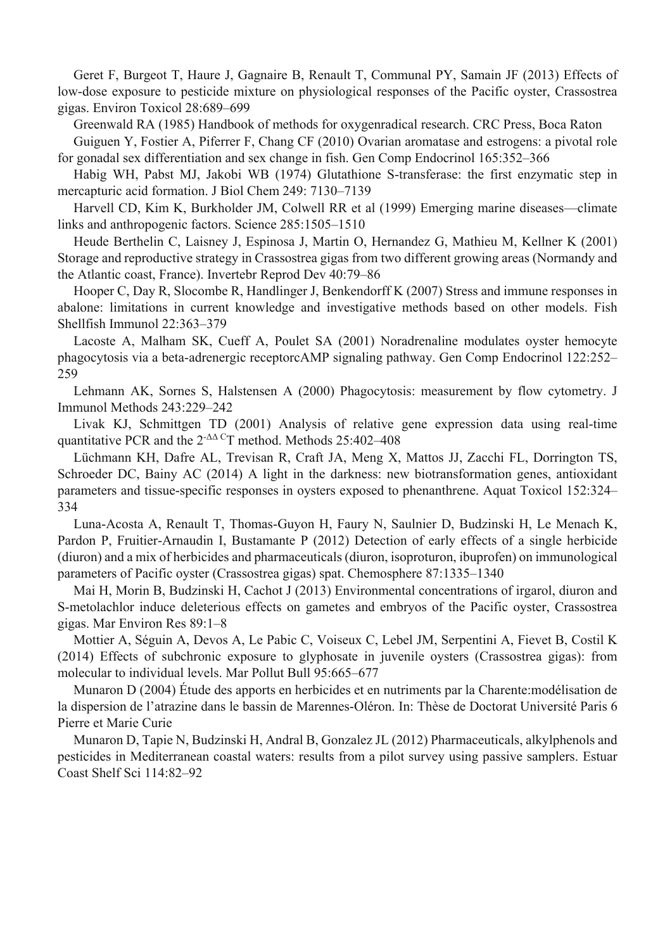Geret F, Burgeot T, Haure J, Gagnaire B, Renault T, Communal PY, Samain JF (2013) Effects of low-dose exposure to pesticide mixture on physiological responses of the Pacific oyster, Crassostrea gigas. Environ Toxicol 28:689–699

Greenwald RA (1985) Handbook of methods for oxygenradical research. CRC Press, Boca Raton

Guiguen Y, Fostier A, Piferrer F, Chang CF (2010) Ovarian aromatase and estrogens: a pivotal role for gonadal sex differentiation and sex change in fish. Gen Comp Endocrinol 165:352–366

Habig WH, Pabst MJ, Jakobi WB (1974) Glutathione S-transferase: the first enzymatic step in mercapturic acid formation. J Biol Chem 249: 7130–7139

Harvell CD, Kim K, Burkholder JM, Colwell RR et al (1999) Emerging marine diseases—climate links and anthropogenic factors. Science 285:1505–1510

Heude Berthelin C, Laisney J, Espinosa J, Martin O, Hernandez G, Mathieu M, Kellner K (2001) Storage and reproductive strategy in Crassostrea gigas from two different growing areas (Normandy and the Atlantic coast, France). Invertebr Reprod Dev 40:79–86

Hooper C, Day R, Slocombe R, Handlinger J, Benkendorff K (2007) Stress and immune responses in abalone: limitations in current knowledge and investigative methods based on other models. Fish Shellfish Immunol 22:363–379

Lacoste A, Malham SK, Cueff A, Poulet SA (2001) Noradrenaline modulates oyster hemocyte phagocytosis via a beta-adrenergic receptorcAMP signaling pathway. Gen Comp Endocrinol 122:252– 259

Lehmann AK, Sornes S, Halstensen A (2000) Phagocytosis: measurement by flow cytometry. J Immunol Methods 243:229–242

Livak KJ, Schmittgen TD (2001) Analysis of relative gene expression data using real-time quantitative PCR and the  $2^{-\Delta\Delta}$ <sup>C</sup>T method. Methods 25:402–408

Lüchmann KH, Dafre AL, Trevisan R, Craft JA, Meng X, Mattos JJ, Zacchi FL, Dorrington TS, Schroeder DC, Bainy AC (2014) A light in the darkness: new biotransformation genes, antioxidant parameters and tissue-specific responses in oysters exposed to phenanthrene. Aquat Toxicol 152:324– 334

Luna-Acosta A, Renault T, Thomas-Guyon H, Faury N, Saulnier D, Budzinski H, Le Menach K, Pardon P, Fruitier-Arnaudin I, Bustamante P (2012) Detection of early effects of a single herbicide (diuron) and a mix of herbicides and pharmaceuticals (diuron, isoproturon, ibuprofen) on immunological parameters of Pacific oyster (Crassostrea gigas) spat. Chemosphere 87:1335–1340

Mai H, Morin B, Budzinski H, Cachot J (2013) Environmental concentrations of irgarol, diuron and S-metolachlor induce deleterious effects on gametes and embryos of the Pacific oyster, Crassostrea gigas. Mar Environ Res 89:1–8

Mottier A, Séguin A, Devos A, Le Pabic C, Voiseux C, Lebel JM, Serpentini A, Fievet B, Costil K (2014) Effects of subchronic exposure to glyphosate in juvenile oysters (Crassostrea gigas): from molecular to individual levels. Mar Pollut Bull 95:665–677

Munaron D (2004) Étude des apports en herbicides et en nutriments par la Charente:modélisation de la dispersion de l'atrazine dans le bassin de Marennes-Oléron. In: Thèse de Doctorat Université Paris 6 Pierre et Marie Curie

Munaron D, Tapie N, Budzinski H, Andral B, Gonzalez JL (2012) Pharmaceuticals, alkylphenols and pesticides in Mediterranean coastal waters: results from a pilot survey using passive samplers. Estuar Coast Shelf Sci 114:82–92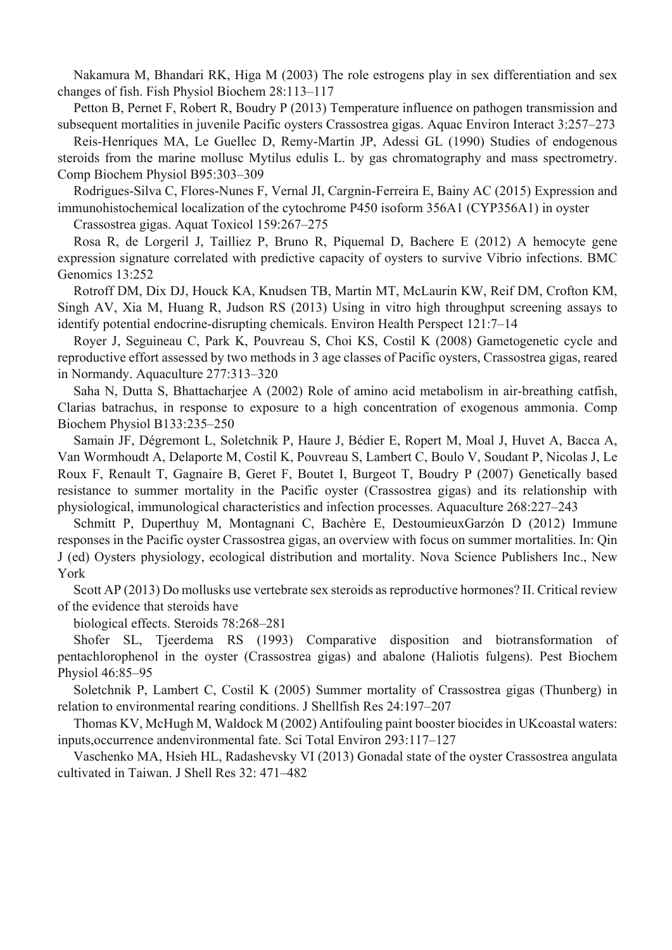Nakamura M, Bhandari RK, Higa M (2003) The role estrogens play in sex differentiation and sex changes of fish. Fish Physiol Biochem 28:113–117

Petton B, Pernet F, Robert R, Boudry P (2013) Temperature influence on pathogen transmission and subsequent mortalities in juvenile Pacific oysters Crassostrea gigas. Aquac Environ Interact 3:257–273

Reis-Henriques MA, Le Guellec D, Remy-Martin JP, Adessi GL (1990) Studies of endogenous steroids from the marine mollusc Mytilus edulis L. by gas chromatography and mass spectrometry. Comp Biochem Physiol B95:303–309

Rodrigues-Silva C, Flores-Nunes F, Vernal JI, Cargnin-Ferreira E, Bainy AC (2015) Expression and immunohistochemical localization of the cytochrome P450 isoform 356A1 (CYP356A1) in oyster

Crassostrea gigas. Aquat Toxicol 159:267–275

Rosa R, de Lorgeril J, Tailliez P, Bruno R, Piquemal D, Bachere E (2012) A hemocyte gene expression signature correlated with predictive capacity of oysters to survive Vibrio infections. BMC Genomics 13:252

Rotroff DM, Dix DJ, Houck KA, Knudsen TB, Martin MT, McLaurin KW, Reif DM, Crofton KM, Singh AV, Xia M, Huang R, Judson RS (2013) Using in vitro high throughput screening assays to identify potential endocrine-disrupting chemicals. Environ Health Perspect 121:7–14

Royer J, Seguineau C, Park K, Pouvreau S, Choi KS, Costil K (2008) Gametogenetic cycle and reproductive effort assessed by two methods in 3 age classes of Pacific oysters, Crassostrea gigas, reared in Normandy. Aquaculture 277:313–320

Saha N, Dutta S, Bhattacharjee A (2002) Role of amino acid metabolism in air-breathing catfish, Clarias batrachus, in response to exposure to a high concentration of exogenous ammonia. Comp Biochem Physiol B133:235–250

Samain JF, Dégremont L, Soletchnik P, Haure J, Bédier E, Ropert M, Moal J, Huvet A, Bacca A, Van Wormhoudt A, Delaporte M, Costil K, Pouvreau S, Lambert C, Boulo V, Soudant P, Nicolas J, Le Roux F, Renault T, Gagnaire B, Geret F, Boutet I, Burgeot T, Boudry P (2007) Genetically based resistance to summer mortality in the Pacific oyster (Crassostrea gigas) and its relationship with physiological, immunological characteristics and infection processes. Aquaculture 268:227–243

Schmitt P, Duperthuy M, Montagnani C, Bachère E, DestoumieuxGarzón D (2012) Immune responses in the Pacific oyster Crassostrea gigas, an overview with focus on summer mortalities. In: Qin J (ed) Oysters physiology, ecological distribution and mortality. Nova Science Publishers Inc., New York

Scott AP (2013) Do mollusks use vertebrate sex steroids as reproductive hormones? II. Critical review of the evidence that steroids have

biological effects. Steroids 78:268–281

Shofer SL, Tjeerdema RS (1993) Comparative disposition and biotransformation of pentachlorophenol in the oyster (Crassostrea gigas) and abalone (Haliotis fulgens). Pest Biochem Physiol 46:85–95

Soletchnik P, Lambert C, Costil K (2005) Summer mortality of Crassostrea gigas (Thunberg) in relation to environmental rearing conditions. J Shellfish Res 24:197–207

Thomas KV, McHugh M, Waldock M (2002) Antifouling paint booster biocides in UKcoastal waters: inputs,occurrence andenvironmental fate. Sci Total Environ 293:117–127

Vaschenko MA, Hsieh HL, Radashevsky VI (2013) Gonadal state of the oyster Crassostrea angulata cultivated in Taiwan. J Shell Res 32: 471–482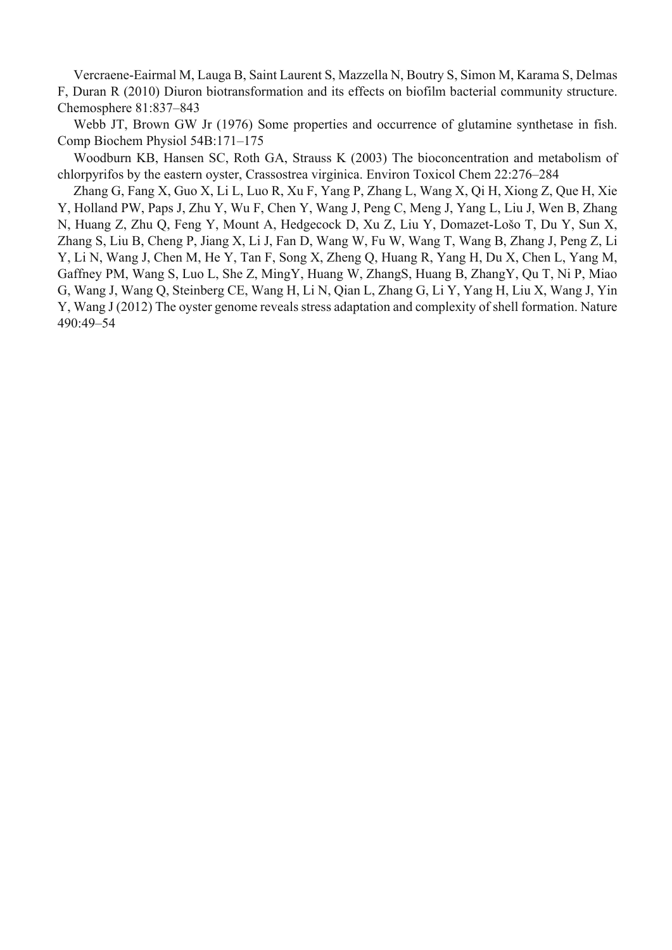Vercraene-Eairmal M, Lauga B, Saint Laurent S, Mazzella N, Boutry S, Simon M, Karama S, Delmas F, Duran R (2010) Diuron biotransformation and its effects on biofilm bacterial community structure. Chemosphere 81:837–843

Webb JT, Brown GW Jr (1976) Some properties and occurrence of glutamine synthetase in fish. Comp Biochem Physiol 54B:171–175

Woodburn KB, Hansen SC, Roth GA, Strauss K (2003) The bioconcentration and metabolism of chlorpyrifos by the eastern oyster, Crassostrea virginica. Environ Toxicol Chem 22:276–284

Zhang G, Fang X, Guo X, Li L, Luo R, Xu F, Yang P, Zhang L, Wang X, Qi H, Xiong Z, Que H, Xie Y, Holland PW, Paps J, Zhu Y, Wu F, Chen Y, Wang J, Peng C, Meng J, Yang L, Liu J, Wen B, Zhang N, Huang Z, Zhu Q, Feng Y, Mount A, Hedgecock D, Xu Z, Liu Y, Domazet-Lošo T, Du Y, Sun X, Zhang S, Liu B, Cheng P, Jiang X, Li J, Fan D, Wang W, Fu W, Wang T, Wang B, Zhang J, Peng Z, Li Y, Li N, Wang J, Chen M, He Y, Tan F, Song X, Zheng Q, Huang R, Yang H, Du X, Chen L, Yang M, Gaffney PM, Wang S, Luo L, She Z, MingY, Huang W, ZhangS, Huang B, ZhangY, Qu T, Ni P, Miao G, Wang J, Wang Q, Steinberg CE, Wang H, Li N, Qian L, Zhang G, Li Y, Yang H, Liu X, Wang J, Yin Y, Wang J (2012) The oyster genome reveals stress adaptation and complexity of shell formation. Nature 490:49–54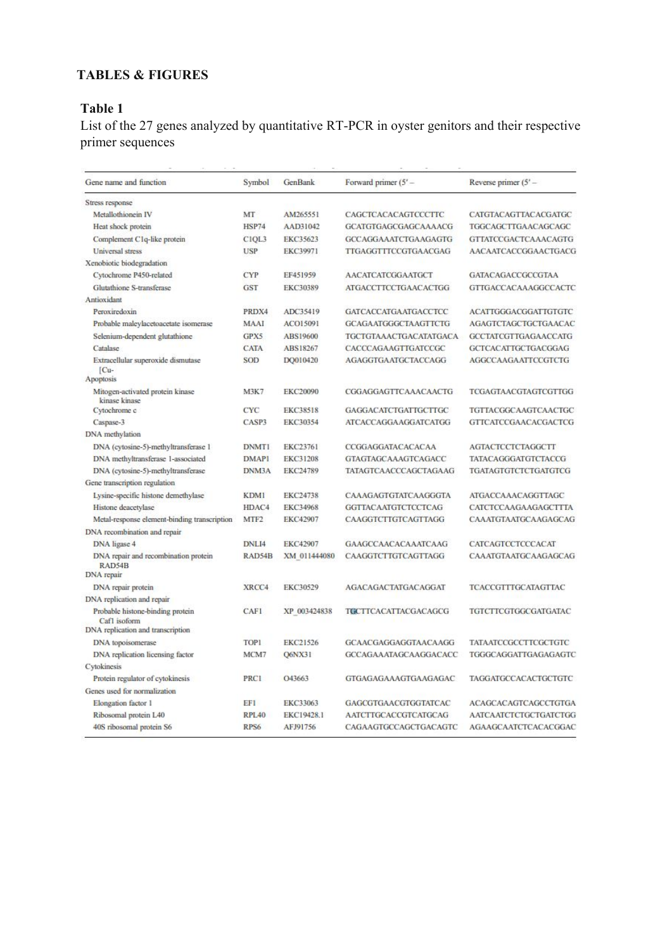# **TABLES & FIGURES**

# **Table 1**

List of the 27 genes analyzed by quantitative RT-PCR in oyster genitors and their respective primer sequences

| Gene name and function                                                                | Symbol           | GenBank           | Forward primer $(5' -$      | Reverse primer $(5' -$       |
|---------------------------------------------------------------------------------------|------------------|-------------------|-----------------------------|------------------------------|
| Stress response                                                                       |                  |                   |                             |                              |
| Metallothionein IV                                                                    | MT               | AM265551          | CAGCTCACACAGTCCCTTC         | CATGTACAGTTACACGATGC         |
| Heat shock protein                                                                    | HSP74            | AAD31042          | GCATGTGAGCGAGCAAAACG        | TGGCAGCTTGAACAGCAGC          |
| Complement C1q-like protein                                                           | CIQL3            | EKC35623          | GCCAGGAAATCTGAAGAGTG        | <b>GTTATCCGACTCAAACAGTG</b>  |
| Universal stress                                                                      | <b>USP</b>       | EKC39971          | TTGAGGTTTCCGTGAACGAG        | AACAATCACCGGAACTGACG         |
| Xenobiotic biodegradation                                                             |                  |                   |                             |                              |
| Cytochrome P450-related                                                               | <b>CYP</b>       | EF451959          | <b>AACATCATCGGAATGCT</b>    | GATACAGACCGCCGTAA            |
| Glutathione S-transferase                                                             | GST              | EKC30389          | <b>ATGACCTTCCTGAACACTGG</b> | GTTGACCACAAAGGCCACTC         |
| Antioxidant                                                                           |                  |                   |                             |                              |
| Peroxiredoxin                                                                         | PRDX4            | ADC35419          | <b>GATCACCATGAATGACCTCC</b> | <b>ACATTGGGACGGATTGTGTC</b>  |
| Probable maleylacetoacetate isomerase                                                 | MAAI             | ACO15091          | <b>GCAGAATGGGCTAAGTTCTG</b> | AGAGTCTAGCTGCTGAACAC         |
| Selenium-dependent glutathione                                                        | GPX5             | ABS19600          | TGCTGTAAACTGACATATGACA      | <b>GCCTATCGTTGAGAACCATG</b>  |
| Catalase                                                                              | <b>CATA</b>      | ABS18267          | CACCCAGAAGTTGATCCGC         | GCTCACATTGCTGACGGAG          |
| Extracellular superoxide dismutase<br>[Cu-<br>Apoptosis                               | <b>SOD</b>       | DQ010420          | AGAGGTGAATGCTACCAGG         | AGGCCAAGAATTCCGTCTG          |
| Mitogen-activated protein kinase                                                      | <b>M3K7</b>      | <b>EKC20090</b>   | CGGAGGAGTTCAAACAACTG        | TCGAGTAACGTAGTCGTTGG         |
| kinase kinase                                                                         |                  |                   |                             |                              |
| Cytochrome c                                                                          | CYC              | <b>EKC38518</b>   | <b>GAGGACATCTGATTGCTTGC</b> | TGTTACGGCAAGTCAACTGC         |
| Caspase-3                                                                             | CASP3            | EKC30354          | ATCACCAGGAAGGATCATGG        | <b>GTTCATCCGAACACGACTCG</b>  |
| DNA methylation                                                                       |                  |                   |                             |                              |
| DNA (cytosine-5)-methyltransferase 1                                                  | <b>DNMT1</b>     | EKC23761          | CCGGAGGATACACACAA           | <b>AGTACTCCTCTAGGCTT</b>     |
| DNA methyltransferase 1-associated                                                    | <b>DMAPI</b>     | EKC31208          | <b>GTAGTAGCAAAGTCAGACC</b>  | <b>TATACAGGGATGTCTACCG</b>   |
| DNA (cytosine-5)-methyltransferase                                                    | DNM3A            | EKC24789          | TATAGTCAACCCAGCTAGAAG       | <b>TGATAGTGTCTCTGATGTCG</b>  |
| Gene transcription regulation                                                         |                  |                   |                             |                              |
| Lysine-specific histone demethylase                                                   | KDM1             | EKC24738          | CAAAGAGTGTATCAAGGGTA        | ATGACCAAACAGGTTAGC           |
| Histone deacetylase                                                                   | HDAC4            | <b>EKC34968</b>   | <b>GGTTACAATGTCTCCTCAG</b>  | CATCTCCAAGAAGAGCTTTA         |
| Metal-response element-binding transcription                                          | MTF <sub>2</sub> | <b>EKC42907</b>   | CAAGGTCTTGTCAGTTAGG         | CAAATGTAATGCAAGAGCAG         |
| DNA recombination and repair                                                          |                  |                   |                             |                              |
| DNA ligase 4                                                                          | DNLI4            | <b>EKC42907</b>   | GAAGCCAACACAAATCAAG         | CATCAGTCCTCCCACAT            |
| DNA repair and recombination protein<br>RAD54B                                        | RAD54B           | XM 011444080      | CAAGGTCTTGTCAGTTAGG         | CAAATGTAATGCAAGAGCAG         |
| DNA repair                                                                            |                  |                   |                             |                              |
| DNA repair protein                                                                    | XRCC4            | EKC30529          | <b>AGACAGACTATGACAGGAT</b>  | <b>TCACCGTTTGCATAGTTAC</b>   |
| DNA replication and repair                                                            |                  |                   |                             |                              |
| Probable histone-binding protein<br>Caf1 isoform<br>DNA replication and transcription | <b>CAF1</b>      | XP 003424838      | <b>TGCTTCACATTACGACAGCG</b> | TGTCTTCGTGGCGATGATAC         |
| DNA topoisomerase                                                                     | TOP1             | EKC21526          | GCAACGAGGAGGTAACAAGG        | TATAATCCGCCTTCGCTGTC         |
| DNA replication licensing factor                                                      | MCM7             | Q6NX31            | GCCAGAAATAGCAAGGACACC       | TGGGCAGGATTGAGAGAGTC         |
| Cytokinesis                                                                           |                  |                   |                             |                              |
| Protein regulator of cytokinesis                                                      | <b>PRC1</b>      | O43663            | GTGAGAGAAAGTGAAGAGAC        | TAGGATGCCACACTGCTGTC         |
| Genes used for normalization                                                          |                  |                   |                             |                              |
| Elongation factor 1                                                                   | EFI              | EKC33063          | GAGCGTGAACGTGGTATCAC        | ACAGCACAGTCAGCCTGTGA         |
| Ribosomal protein L40                                                                 | RPL40            | <b>EKC19428.1</b> | <b>AATCTTGCACCGTCATGCAG</b> | <b>AATCAATCTCTGCTGATCTGG</b> |
| 40S ribosomal protein S6                                                              | RPS6             | AFJ91756          | CAGAAGTGCCAGCTGACAGTC       | AGAAGCAATCTCACACGGAC         |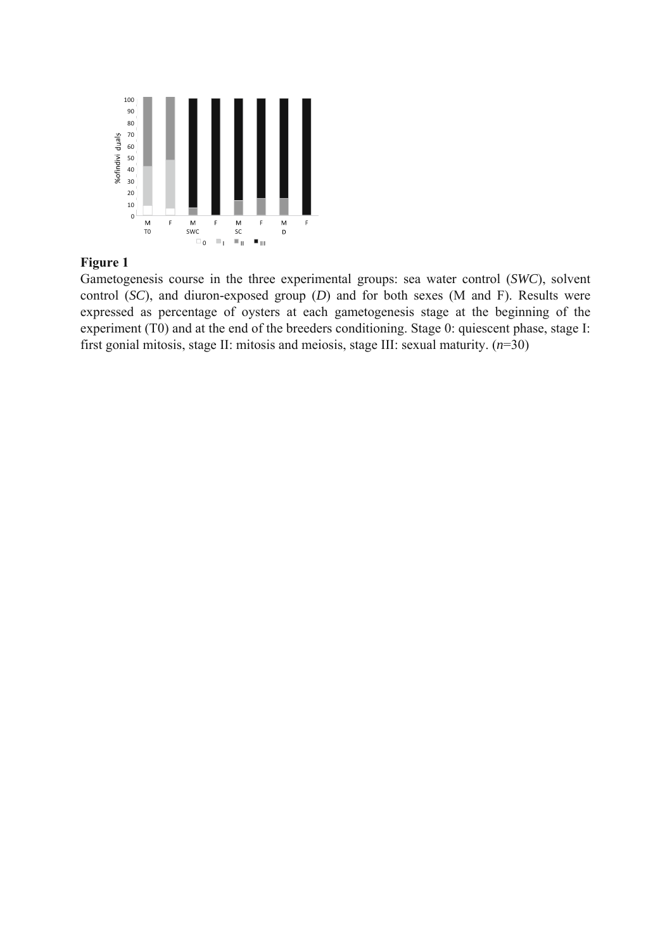

Gametogenesis course in the three experimental groups: sea water control (*SWC*), solvent control (*SC*), and diuron-exposed group (*D*) and for both sexes (M and F). Results were expressed as percentage of oysters at each gametogenesis stage at the beginning of the experiment (T0) and at the end of the breeders conditioning. Stage 0: quiescent phase, stage I: first gonial mitosis, stage II: mitosis and meiosis, stage III: sexual maturity. (*n*=30)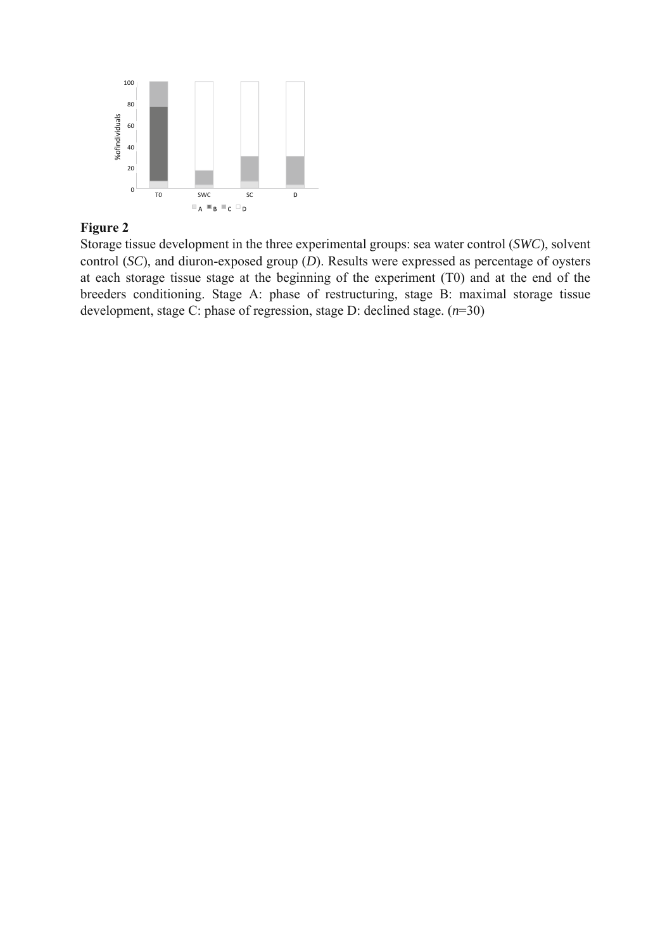

Storage tissue development in the three experimental groups: sea water control (*SWC*), solvent control (*SC*), and diuron-exposed group (*D*). Results were expressed as percentage of oysters at each storage tissue stage at the beginning of the experiment (T0) and at the end of the breeders conditioning. Stage A: phase of restructuring, stage B: maximal storage tissue development, stage C: phase of regression, stage D: declined stage. (*n*=30)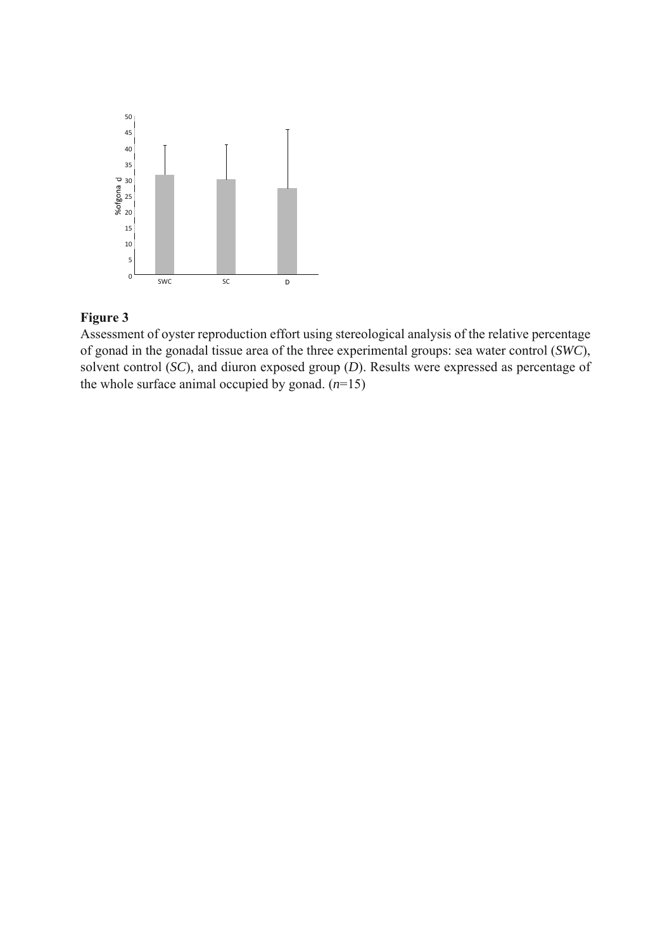

Assessment of oyster reproduction effort using stereological analysis of the relative percentage of gonad in the gonadal tissue area of the three experimental groups: sea water control (*SWC*), solvent control (*SC*), and diuron exposed group (*D*). Results were expressed as percentage of the whole surface animal occupied by gonad.  $(n=15)$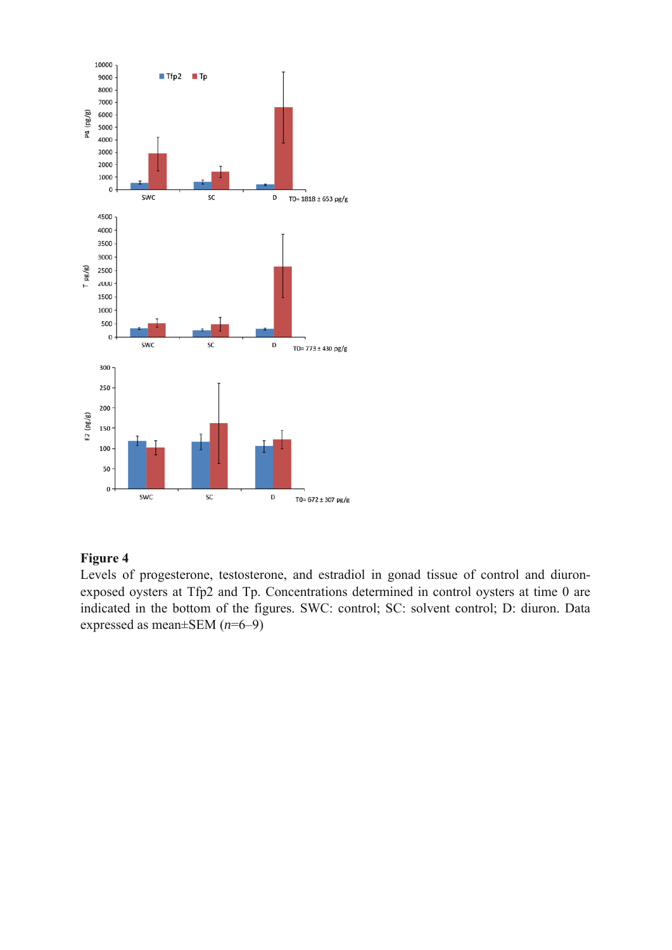

Levels of progesterone, testosterone, and estradiol in gonad tissue of control and diuronexposed oysters at Tfp2 and Tp. Concentrations determined in control oysters at time 0 are indicated in the bottom of the figures. SWC: control; SC: solvent control; D: diuron. Data expressed as mean±SEM (*n*=6–9)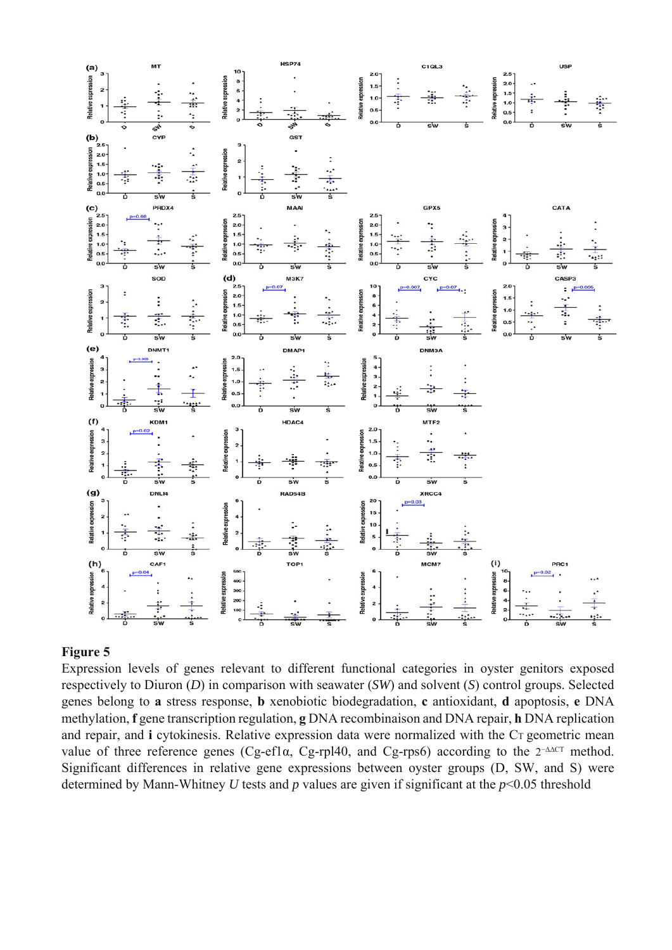

Expression levels of genes relevant to different functional categories in oyster genitors exposed respectively to Diuron (*D*) in comparison with seawater (*SW*) and solvent (*S*) control groups. Selected genes belong to **a** stress response, **b** xenobiotic biodegradation, **c** antioxidant, **d** apoptosis, **e** DNA methylation, **f** gene transcription regulation, **g** DNA recombinaison and DNA repair, **h** DNA replication and repair, and **i** cytokinesis. Relative expression data were normalized with the C<sub>T</sub> geometric mean value of three reference genes (Cg-ef1α, Cg-rpl40, and Cg-rps6) according to the  $2^{-\Delta\Delta CT}$  method. Significant differences in relative gene expressions between oyster groups (D, SW, and S) were determined by Mann-Whitney *U* tests and *p* values are given if significant at the *p*<0.05 threshold